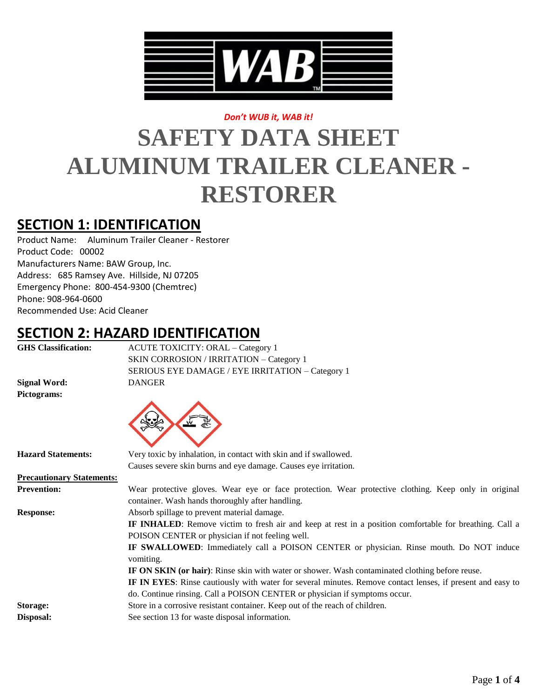

### *Don't WUB it, WAB it!*

# **SAFETY DATA SHEET ALUMINUM TRAILER CLEANER - RESTORER**

## **SECTION 1: IDENTIFICATION**

Product Name: Aluminum Trailer Cleaner - Restorer Product Code: 00002 Manufacturers Name: BAW Group, Inc. Address: 685 Ramsey Ave. Hillside, NJ 07205 Emergency Phone: 800-454-9300 (Chemtrec) Phone: 908-964-0600 Recommended Use: Acid Cleaner

### **SECTION 2: HAZARD IDENTIFICATION**

| <b>GHS Classification:</b>       | <b>ACUTE TOXICITY: ORAL - Category 1</b>                                                                                                                          |  |
|----------------------------------|-------------------------------------------------------------------------------------------------------------------------------------------------------------------|--|
|                                  | SKIN CORROSION / IRRITATION - Category 1                                                                                                                          |  |
|                                  | SERIOUS EYE DAMAGE / EYE IRRITATION - Category 1                                                                                                                  |  |
| <b>Signal Word:</b>              | <b>DANGER</b>                                                                                                                                                     |  |
| Pictograms:                      |                                                                                                                                                                   |  |
|                                  |                                                                                                                                                                   |  |
| <b>Hazard Statements:</b>        | Very toxic by inhalation, in contact with skin and if swallowed.                                                                                                  |  |
|                                  | Causes severe skin burns and eye damage. Causes eye irritation.                                                                                                   |  |
| <b>Precautionary Statements:</b> |                                                                                                                                                                   |  |
| <b>Prevention:</b>               | Wear protective gloves. Wear eye or face protection. Wear protective clothing. Keep only in original<br>container. Wash hands thoroughly after handling.          |  |
| <b>Response:</b>                 | Absorb spillage to prevent material damage.                                                                                                                       |  |
|                                  | <b>IF INHALED:</b> Remove victim to fresh air and keep at rest in a position comfortable for breathing. Call a<br>POISON CENTER or physician if not feeling well. |  |
|                                  | IF SWALLOWED: Immediately call a POISON CENTER or physician. Rinse mouth. Do NOT induce<br>vomiting.                                                              |  |
|                                  | IF ON SKIN (or hair): Rinse skin with water or shower. Wash contaminated clothing before reuse.                                                                   |  |
|                                  | IF IN EYES: Rinse cautiously with water for several minutes. Remove contact lenses, if present and easy to                                                        |  |
|                                  | do. Continue rinsing. Call a POISON CENTER or physician if symptoms occur.                                                                                        |  |
| Storage:                         | Store in a corrosive resistant container. Keep out of the reach of children.                                                                                      |  |
| Disposal:                        | See section 13 for waste disposal information.                                                                                                                    |  |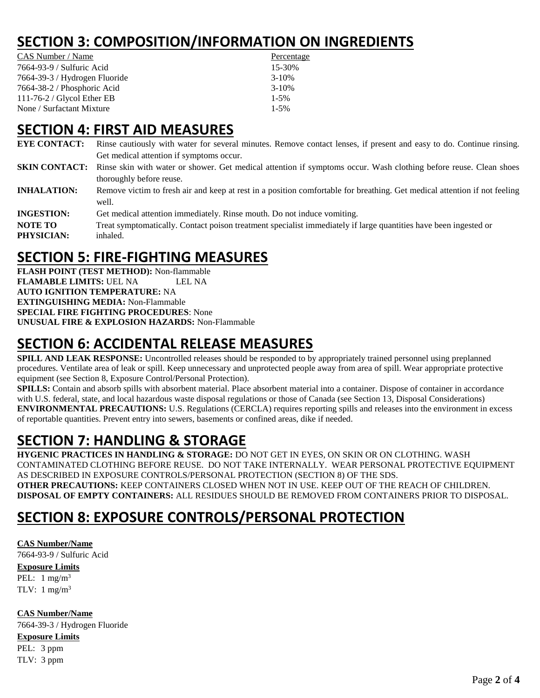# **SECTION 3: COMPOSITION/INFORMATION ON INGREDIENTS**

| CAS Number / Name             | Percentage |
|-------------------------------|------------|
| 7664-93-9 / Sulfuric Acid     | 15-30%     |
| 7664-39-3 / Hydrogen Fluoride | $3 - 10\%$ |
| 7664-38-2 / Phosphoric Acid   | $3-10%$    |
| 111-76-2 / Glycol Ether EB    | $1 - 5\%$  |
| None / Surfactant Mixture     | $1 - 5\%$  |

### **SECTION 4: FIRST AID MEASURES**

- **EYE CONTACT:** Rinse cautiously with water for several minutes. Remove contact lenses, if present and easy to do. Continue rinsing. Get medical attention if symptoms occur.
- **SKIN CONTACT:** Rinse skin with water or shower. Get medical attention if symptoms occur. Wash clothing before reuse. Clean shoes thoroughly before reuse.
- **INHALATION:** Remove victim to fresh air and keep at rest in a position comfortable for breathing. Get medical attention if not feeling well.
- **INGESTION:** Get medical attention immediately. Rinse mouth. Do not induce vomiting.

**NOTE TO** Treat symptomatically. Contact poison treatment specialist immediately if large quantities have been ingested or **PHYSICIAN:** inhaled.

# **SECTION 5: FIRE-FIGHTING MEASURES**

**FLASH POINT (TEST METHOD):** Non-flammable **FLAMABLE LIMITS: UEL NA LEL NA AUTO IGNITION TEMPERATURE:** NA **EXTINGUISHING MEDIA:** Non-Flammable **SPECIAL FIRE FIGHTING PROCEDURES**: None **UNUSUAL FIRE & EXPLOSION HAZARDS:** Non-Flammable

# **SECTION 6: ACCIDENTAL RELEASE MEASURES**

**SPILL AND LEAK RESPONSE:** Uncontrolled releases should be responded to by appropriately trained personnel using preplanned procedures. Ventilate area of leak or spill. Keep unnecessary and unprotected people away from area of spill. Wear appropriate protective equipment (see Section 8, Exposure Control/Personal Protection).

**SPILLS:** Contain and absorb spills with absorbent material. Place absorbent material into a container. Dispose of container in accordance with U.S. federal, state, and local hazardous waste disposal regulations or those of Canada (see Section 13, Disposal Considerations) **ENVIRONMENTAL PRECAUTIONS:** U.S. Regulations (CERCLA) requires reporting spills and releases into the environment in excess of reportable quantities. Prevent entry into sewers, basements or confined areas, dike if needed.

# **SECTION 7: HANDLING & STORAGE**

**HYGENIC PRACTICES IN HANDLING & STORAGE:** DO NOT GET IN EYES, ON SKIN OR ON CLOTHING. WASH CONTAMINATED CLOTHING BEFORE REUSE. DO NOT TAKE INTERNALLY. WEAR PERSONAL PROTECTIVE EQUIPMENT AS DESCRIBED IN EXPOSURE CONTROLS/PERSONAL PROTECTION (SECTION 8) OF THE SDS. **OTHER PRECAUTIONS:** KEEP CONTAINERS CLOSED WHEN NOT IN USE. KEEP OUT OF THE REACH OF CHILDREN. **DISPOSAL OF EMPTY CONTAINERS:** ALL RESIDUES SHOULD BE REMOVED FROM CONTAINERS PRIOR TO DISPOSAL.

# **SECTION 8: EXPOSURE CONTROLS/PERSONAL PROTECTION**

**CAS Number/Name** 7664-93-9 / Sulfuric Acid **Exposure Limits** PEL:  $1 \text{ mg/m}^3$ TLV:  $1 \text{ mg/m}^3$ 

**CAS Number/Name** 7664-39-3 / Hydrogen Fluoride **Exposure Limits** PEL: 3 ppm TLV: 3 ppm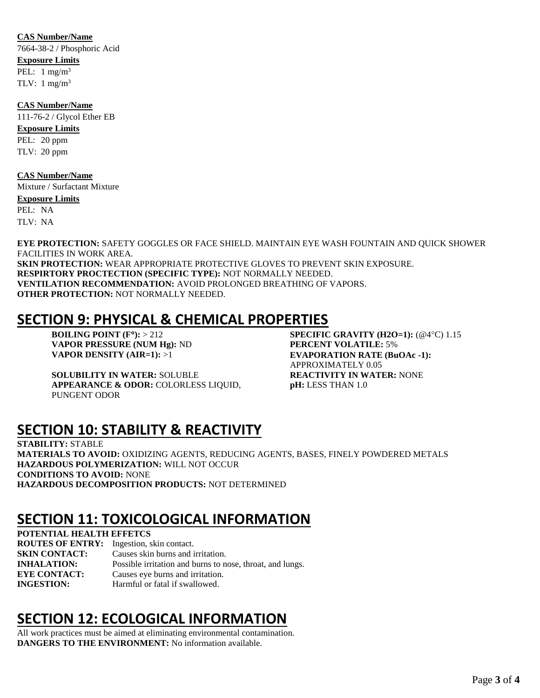#### **CAS Number/Name**

7664-38-2 / Phosphoric Acid **Exposure Limits** PEL:  $1 \text{ mg/m}^3$ TLV:  $1 \text{ mg/m}^3$ 

**CAS Number/Name** 111-76-2 / Glycol Ether EB **Exposure Limits** PEL: 20 ppm TLV: 20 ppm

#### **CAS Number/Name**

Mixture / Surfactant Mixture **Exposure Limits** PEL: NA TLV: NA

**EYE PROTECTION:** SAFETY GOGGLES OR FACE SHIELD. MAINTAIN EYE WASH FOUNTAIN AND QUICK SHOWER FACILITIES IN WORK AREA. **SKIN PROTECTION:** WEAR APPROPRIATE PROTECTIVE GLOVES TO PREVENT SKIN EXPOSURE. **RESPIRTORY PROCTECTION (SPECIFIC TYPE):** NOT NORMALLY NEEDED. **VENTILATION RECOMMENDATION:** AVOID PROLONGED BREATHING OF VAPORS. **OTHER PROTECTION:** NOT NORMALLY NEEDED.

### **SECTION 9: PHYSICAL & CHEMICAL PROPERTIES**

**VAPOR PRESSURE (NUM Hg):** ND **PERCENT VOLATILE:** 5%

**SOLUBILITY IN WATER:** SOLUBLE **REACTIVITY IN WATER:** NONE **APPEARANCE & ODOR:** COLORLESS LIQUID, PUNGENT ODOR

**BOILING POINT (F°):** > 212 **SPECIFIC GRAVITY (H2O=1):**  $(\textcircled{a}^{\circ}C)$  1.15 **VAPOR DENSITY (AIR=1):** >1 **EVAPORATION RATE (BuOAc -1):** APPROXIMATELY 0.05 **pH:** LESS THAN 1.0

### **SECTION 10: STABILITY & REACTIVITY**

**STABILITY:** STABLE **MATERIALS TO AVOID:** OXIDIZING AGENTS, REDUCING AGENTS, BASES, FINELY POWDERED METALS **HAZARDOUS POLYMERIZATION:** WILL NOT OCCUR **CONDITIONS TO AVOID:** NONE **HAZARDOUS DECOMPOSITION PRODUCTS:** NOT DETERMINED

### **SECTION 11: TOXICOLOGICAL INFORMATION**

**POTENTIAL HEALTH EFFETCS ROUTES OF ENTRY:** Ingestion, skin contact. **SKIN CONTACT:** Causes skin burns and irritation. **INHALATION:** Possible irritation and burns to nose, throat, and lungs. **EYE CONTACT:** Causes eye burns and irritation. **INGESTION:** Harmful or fatal if swallowed.

# **SECTION 12: ECOLOGICAL INFORMATION**

All work practices must be aimed at eliminating environmental contamination. **DANGERS TO THE ENVIRONMENT:** No information available.